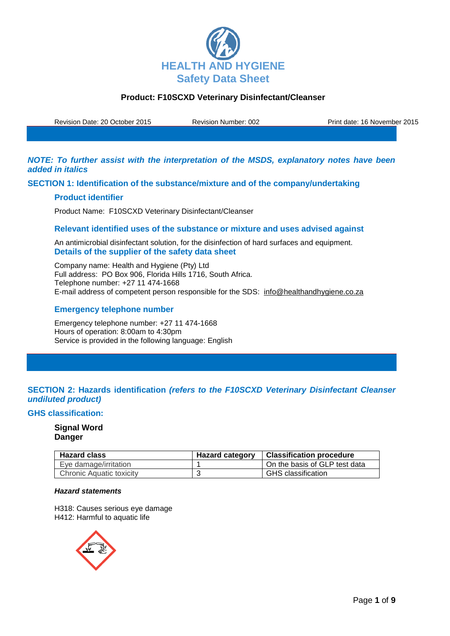

Revision Date: 20 October 2015 Revision Number: 002 Print date: 16 November 2015

*NOTE: To further assist with the interpretation of the MSDS, explanatory notes have been added in italics*

**SECTION 1: Identification of the substance/mixture and of the company/undertaking**

### **Product identifier**

Product Name: F10SCXD Veterinary Disinfectant/Cleanser

### **Relevant identified uses of the substance or mixture and uses advised against**

An antimicrobial disinfectant solution, for the disinfection of hard surfaces and equipment. **Details of the supplier of the safety data sheet**

Company name: Health and Hygiene (Pty) Ltd Full address: PO Box 906, Florida Hills 1716, South Africa. Telephone number: +27 11 474-1668 E-mail address of competent person responsible for the SDS: info@healthandhygiene.co.za

## **Emergency telephone number**

Emergency telephone number: +27 11 474-1668 Hours of operation: 8:00am to 4:30pm Service is provided in the following language: English

## **SECTION 2: Hazards identification** *(refers to the F10SCXD Veterinary Disinfectant Cleanser undiluted product)*

#### **GHS classification:**

### **Signal Word Danger**

| <b>Hazard class</b>      | <b>Hazard category</b> | <b>Classification procedure</b> |
|--------------------------|------------------------|---------------------------------|
| Eye damage/irritation    |                        | On the basis of GLP test data   |
| Chronic Aquatic toxicity |                        | <b>GHS</b> classification       |

### *Hazard statements*

H318: Causes serious eye damage H412: Harmful to aquatic life

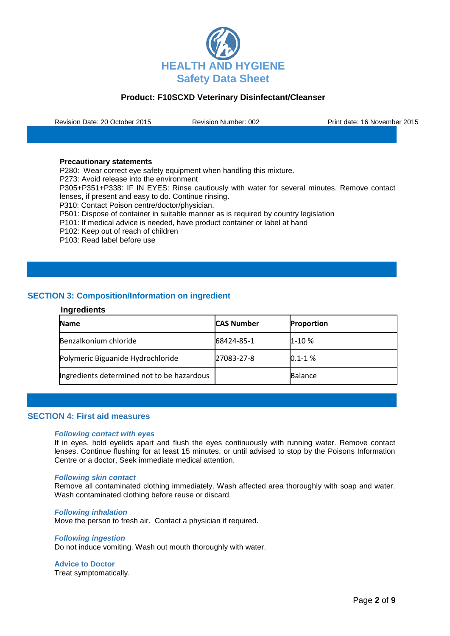

Revision Date: 20 October 2015 Revision Number: 002 Print date: 16 November 2015

#### **Precautionary statements**

P280: Wear correct eye safety equipment when handling this mixture. P273: Avoid release into the environment P305+P351+P338: IF IN EYES: Rinse cautiously with water for several minutes. Remove contact lenses, if present and easy to do. Continue rinsing. P310: Contact Poison centre/doctor/physician. P501: Dispose of container in suitable manner as is required by country legislation P101: If medical advice is needed, have product container or label at hand P102: Keep out of reach of children P103: Read label before use

# **SECTION 3: Composition/Information on ingredient**

### **Ingredients**

| <b>Name</b>                                | <b>CAS Number</b> | <b>Proportion</b> |
|--------------------------------------------|-------------------|-------------------|
| Benzalkonium chloride                      | 68424-85-1        | $1 - 10%$         |
| Polymeric Biguanide Hydrochloride          | 27083-27-8        | $0.1 - 1 %$       |
| Ingredients determined not to be hazardous |                   | <b>Balance</b>    |

#### **SECTION 4: First aid measures**

#### *Following contact with eyes*

If in eyes, hold eyelids apart and flush the eyes continuously with running water. Remove contact lenses. Continue flushing for at least 15 minutes, or until advised to stop by the Poisons Information Centre or a doctor, Seek immediate medical attention.

#### *Following skin contact*

Remove all contaminated clothing immediately. Wash affected area thoroughly with soap and water. Wash contaminated clothing before reuse or discard.

#### *Following inhalation*

Move the person to fresh air. Contact a physician if required.

#### *Following ingestion*

Do not induce vomiting. Wash out mouth thoroughly with water.

**Advice to Doctor**

Treat symptomatically.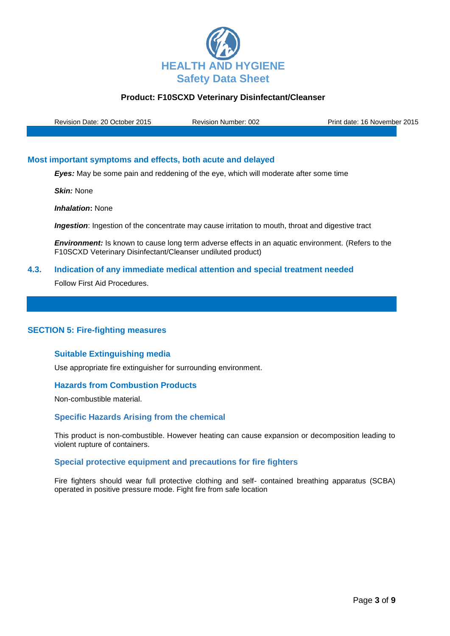

Revision Date: 20 October 2015 Revision Number: 002 Print date: 16 November 2015

## **Most important symptoms and effects, both acute and delayed**

*Eyes:* May be some pain and reddening of the eye, which will moderate after some time

*Skin:* None

*Inhalation***:** None

**Ingestion**: Ingestion of the concentrate may cause irritation to mouth, throat and digestive tract

**Environment:** Is known to cause long term adverse effects in an aquatic environment. (Refers to the F10SCXD Veterinary Disinfectant/Cleanser undiluted product)

### **4.3. Indication of any immediate medical attention and special treatment needed**

Follow First Aid Procedures.

### **SECTION 5: Fire-fighting measures**

### **Suitable Extinguishing media**

Use appropriate fire extinguisher for surrounding environment.

### **Hazards from Combustion Products**

Non-combustible material.

### **Specific Hazards Arising from the chemical**

This product is non-combustible. However heating can cause expansion or decomposition leading to violent rupture of containers.

### **Special protective equipment and precautions for fire fighters**

Fire fighters should wear full protective clothing and self- contained breathing apparatus (SCBA) operated in positive pressure mode. Fight fire from safe location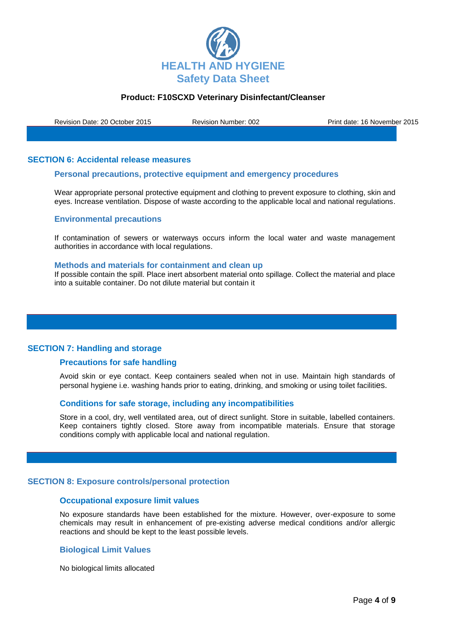

Revision Date: 20 October 2015 Revision Number: 002 Print date: 16 November 2015

### **SECTION 6: Accidental release measures**

#### **Personal precautions, protective equipment and emergency procedures**

Wear appropriate personal protective equipment and clothing to prevent exposure to clothing, skin and eyes. Increase ventilation. Dispose of waste according to the applicable local and national regulations.

#### **Environmental precautions**

If contamination of sewers or waterways occurs inform the local water and waste management authorities in accordance with local regulations.

#### **Methods and materials for containment and clean up**

If possible contain the spill. Place inert absorbent material onto spillage. Collect the material and place into a suitable container. Do not dilute material but contain it

#### **SECTION 7: Handling and storage**

#### **Precautions for safe handling**

Avoid skin or eye contact. Keep containers sealed when not in use. Maintain high standards of personal hygiene i.e. washing hands prior to eating, drinking, and smoking or using toilet facilities.

#### **Conditions for safe storage, including any incompatibilities**

Store in a cool, dry, well ventilated area, out of direct sunlight. Store in suitable, labelled containers. Keep containers tightly closed. Store away from incompatible materials. Ensure that storage conditions comply with applicable local and national regulation.

#### **SECTION 8: Exposure controls/personal protection**

#### **Occupational exposure limit values**

No exposure standards have been established for the mixture. However, over-exposure to some chemicals may result in enhancement of pre-existing adverse medical conditions and/or allergic reactions and should be kept to the least possible levels.

### **Biological Limit Values**

No biological limits allocated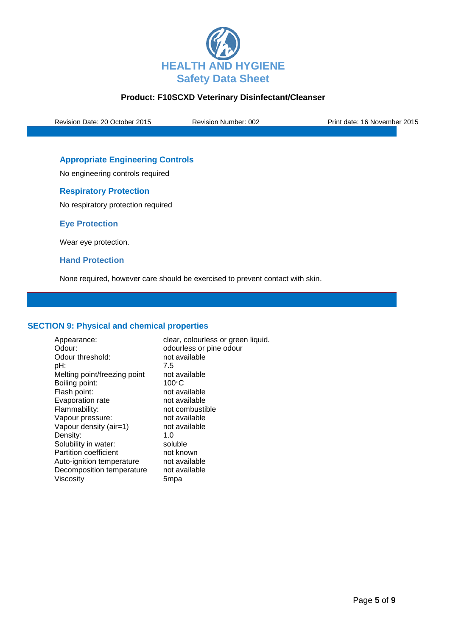

Revision Date: 20 October 2015 Revision Number: 002 Print date: 16 November 2015

# **Appropriate Engineering Controls**

No engineering controls required

## **Respiratory Protection**

No respiratory protection required

**Eye Protection**

Wear eye protection.

### **Hand Protection**

None required, however care should be exercised to prevent contact with skin.

### **SECTION 9: Physical and chemical properties**

Appearance: clear, colourless or green liquid. Odour: odourless or pine odour Odour threshold: not available pH: 7.5 Melting point/freezing point not available Boiling point: 100°C Flash point: not available Evaporation rate not available Flammability: not combustible Vapour pressure: not available<br>Vapour density (air=1) not available Vapour density (air=1) not<br>Density:  $1.0$ Density: 1.0<br>Solubility in water: 1.0<br>Solubility in water: 1.0 Solubility in water: Partition coefficient not known<br>Auto-ignition temperature not available Auto-ignition temperature Decomposition temperature not available Viscosity 5mpa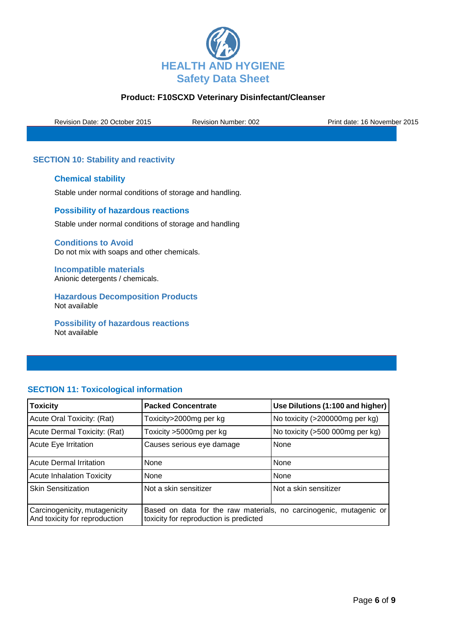

Revision Date: 20 October 2015 Revision Number: 002 Print date: 16 November 2015

# **SECTION 10: Stability and reactivity**

## **Chemical stability**

Stable under normal conditions of storage and handling.

### **Possibility of hazardous reactions**

Stable under normal conditions of storage and handling

**Conditions to Avoid** Do not mix with soaps and other chemicals.

**Incompatible materials** Anionic detergents / chemicals.

**Hazardous Decomposition Products** Not available

**Possibility of hazardous reactions** Not available

# **SECTION 11: Toxicological information**

| <b>Toxicity</b>                                                | <b>Packed Concentrate</b>                                                                                    | Use Dilutions (1:100 and higher) |
|----------------------------------------------------------------|--------------------------------------------------------------------------------------------------------------|----------------------------------|
| Acute Oral Toxicity: (Rat)                                     | Toxicity>2000mg per kg                                                                                       | No toxicity (>200000mg per kg)   |
| Acute Dermal Toxicity: (Rat)                                   | Toxicity >5000mg per kg                                                                                      | No toxicity (>500 000mg per kg)  |
| Acute Eye Irritation                                           | Causes serious eye damage                                                                                    | None                             |
| <b>Acute Dermal Irritation</b>                                 | None                                                                                                         | None                             |
| <b>Acute Inhalation Toxicity</b>                               | None                                                                                                         | None                             |
| <b>Skin Sensitization</b>                                      | Not a skin sensitizer                                                                                        | Not a skin sensitizer            |
| Carcinogenicity, mutagenicity<br>And toxicity for reproduction | Based on data for the raw materials, no carcinogenic, mutagenic or<br>toxicity for reproduction is predicted |                                  |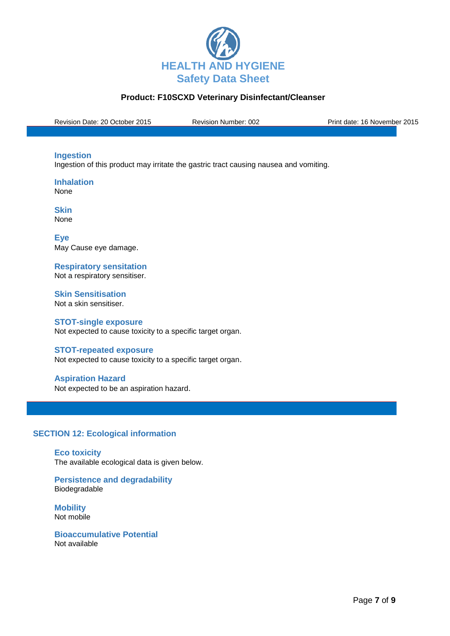

Revision Date: 20 October 2015 Revision Number: 002 Print date: 16 November 2015

### **Ingestion**

Ingestion of this product may irritate the gastric tract causing nausea and vomiting.

**Inhalation** None

**Skin** None

**Eye** May Cause eye damage.

**Respiratory sensitation** Not a respiratory sensitiser.

**Skin Sensitisation** Not a skin sensitiser.

#### **STOT-single exposure**

Not expected to cause toxicity to a specific target organ.

### **STOT-repeated exposure**

Not expected to cause toxicity to a specific target organ.

### **Aspiration Hazard**

Not expected to be an aspiration hazard.

# **SECTION 12: Ecological information**

**Eco toxicity** The available ecological data is given below.

**Persistence and degradability** Biodegradable

**Mobility** Not mobile

**Bioaccumulative Potential** Not available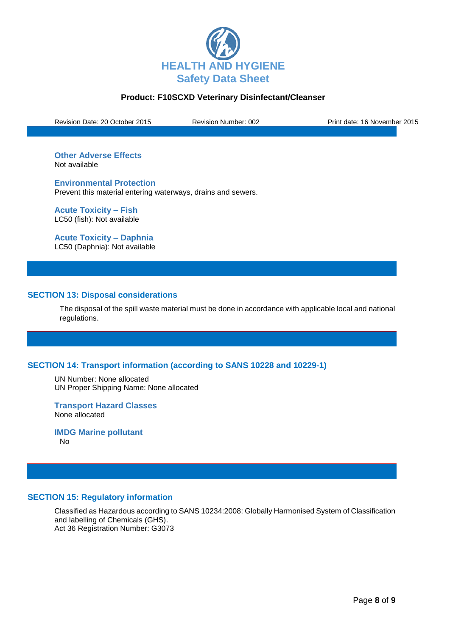

Revision Date: 20 October 2015 Revision Number: 002 Print date: 16 November 2015

**Other Adverse Effects** Not available

**Environmental Protection** Prevent this material entering waterways, drains and sewers.

**Acute Toxicity – Fish** LC50 (fish): Not available

**Acute Toxicity – Daphnia** LC50 (Daphnia): Not available

### **SECTION 13: Disposal considerations**

The disposal of the spill waste material must be done in accordance with applicable local and national regulations.

# **SECTION 14: Transport information (according to SANS 10228 and 10229-1)**

UN Number: None allocated UN Proper Shipping Name: None allocated

**Transport Hazard Classes** None allocated

**IMDG Marine pollutant** No

### **SECTION 15: Regulatory information**

Classified as Hazardous according to SANS 10234:2008: Globally Harmonised System of Classification and labelling of Chemicals (GHS). Act 36 Registration Number: G3073